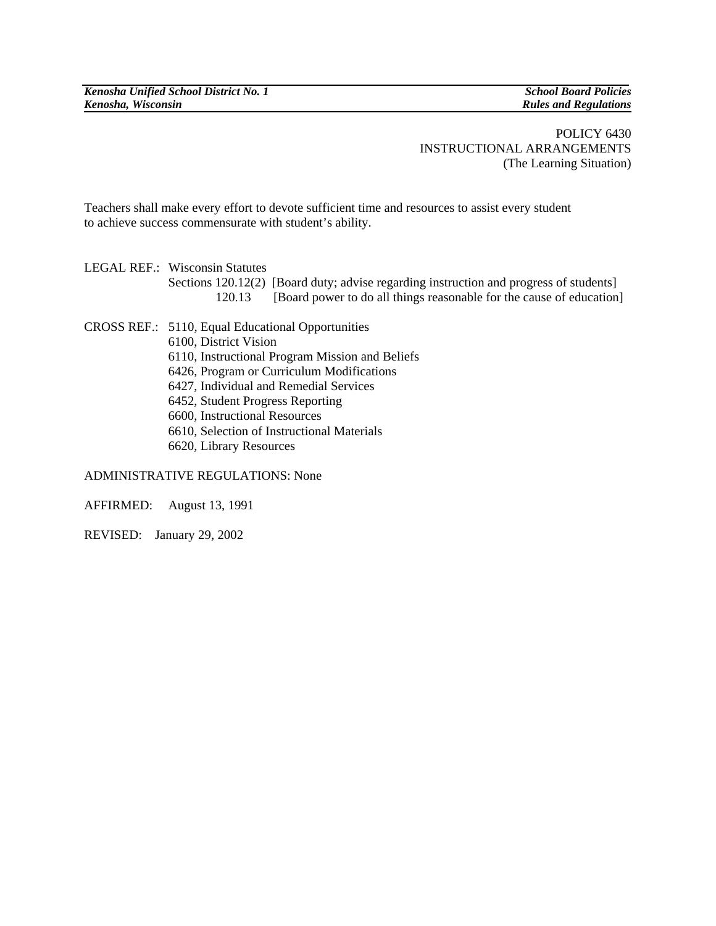*Kenosha Unified School District No. 1* School Board Policies **School Board Policies School Board Policies School Board Policies** *Kenosha, Wisconsin Rules and Regulations* 

POLICY 6430 INSTRUCTIONAL ARRANGEMENTS (The Learning Situation)

Teachers shall make every effort to devote sufficient time and resources to assist every student to achieve success commensurate with student's ability.

LEGAL REF.: Wisconsin Statutes Sections 120.12(2) [Board duty; advise regarding instruction and progress of students] 120.13 [Board power to do all things reasonable for the cause of education]

CROSS REF.: 5110, Equal Educational Opportunities 6100, District Vision 6110, Instructional Program Mission and Beliefs 6426, Program or Curriculum Modifications 6427, Individual and Remedial Services 6452, Student Progress Reporting 6600, Instructional Resources 6610, Selection of Instructional Materials 6620, Library Resources

ADMINISTRATIVE REGULATIONS: None

AFFIRMED: August 13, 1991

REVISED: January 29, 2002